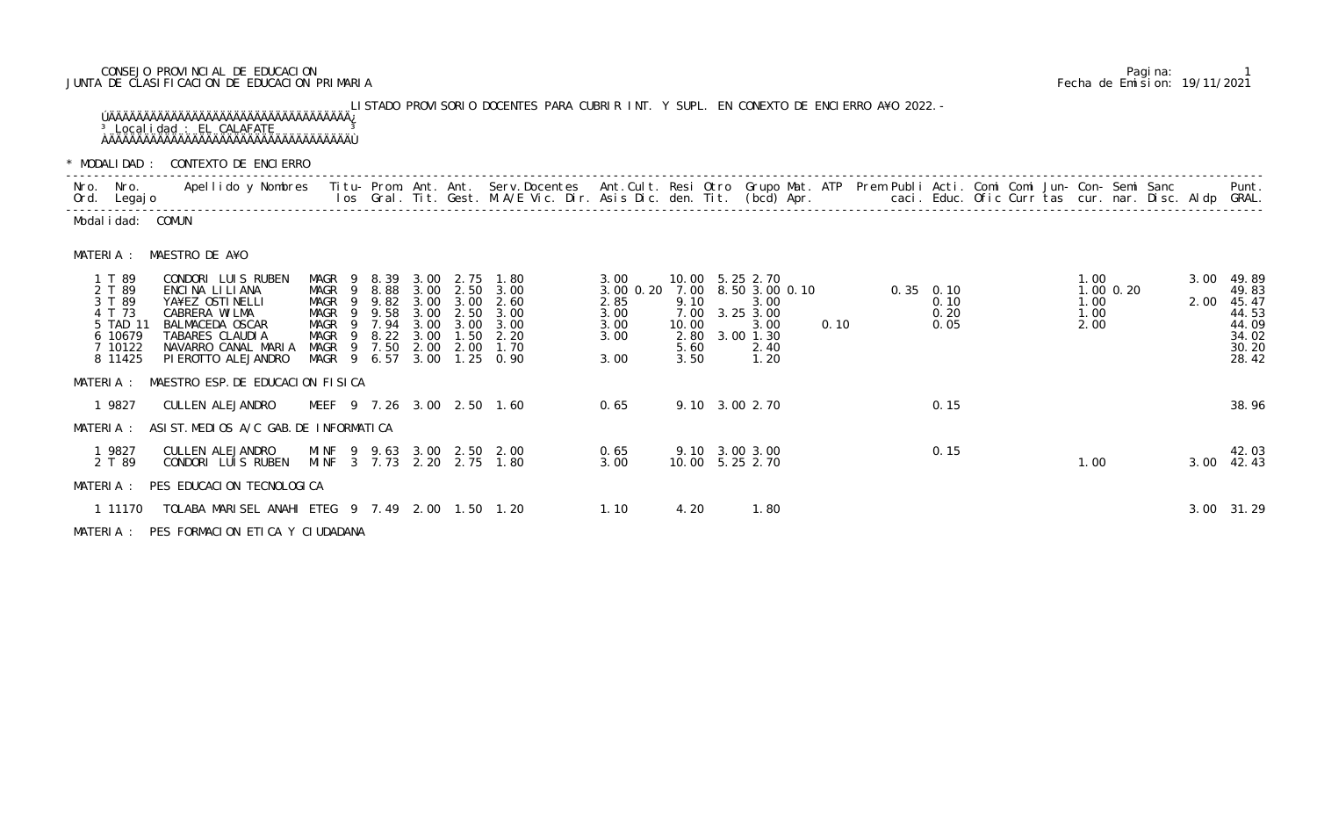## CONSEJO PROVINCIAL DE EDUCACION Pagina: 1 JUNTA DE CLASIFICACION DE EDUCACION PRIMARIA Fecha de Emision: 19/11/2021

LISTADO PROVISORIO DOCENTES PARA CUBRIR INT. Y SUPL. EN CONEXTO DE ENCIERRO A¥O 2022.- ÚÄÄÄÄÄÄÄÄÄÄÄÄÄÄÄÄÄÄÄÄÄÄÄÄÄÄÄÄÄÄÄÄÄÄÄ¿ <sup>3</sup> Localidad : EL CALAFATE <sup>3</sup> ÀÄÄÄÄÄÄÄÄÄÄÄÄÄÄÄÄÄÄÄÄÄÄÄÄÄÄÄÄÄÄÄÄÄÄÄÙ

| * MODALIDAD:                                                                      | CONTEXTO DE ENCIERRO                                                                                                                                                                                                          |                                                                                                            |                                                          |                                                              |                                                      |                                                                           |                                                           |                                                       |                                                                                             |      |                                     |                                                      |                              |               |              |                                                                      |
|-----------------------------------------------------------------------------------|-------------------------------------------------------------------------------------------------------------------------------------------------------------------------------------------------------------------------------|------------------------------------------------------------------------------------------------------------|----------------------------------------------------------|--------------------------------------------------------------|------------------------------------------------------|---------------------------------------------------------------------------|-----------------------------------------------------------|-------------------------------------------------------|---------------------------------------------------------------------------------------------|------|-------------------------------------|------------------------------------------------------|------------------------------|---------------|--------------|----------------------------------------------------------------------|
| Nro. Nro.<br>Ord. Legajo                                                          | Apellido y Nombres - Titu- Prom. Ant. Ant. Serv.Docentes - Ant.Cult. Resi Otro Grupo Mat. ATP - Prem Publi Acti. Comi Comi Jun- Con- Semi Sanc - Semi Sanc - Semi Sanc - Semi Sanc - Semi Sanc - Semi Sanc - Semi Sanc - Semi |                                                                                                            |                                                          |                                                              |                                                      |                                                                           |                                                           |                                                       |                                                                                             |      |                                     | caci. Educ. Ofic Curr tas cur. nar. Disc. Aldp GRAL. |                              |               |              | Punt.                                                                |
| Modal i dad: COMUN                                                                |                                                                                                                                                                                                                               |                                                                                                            |                                                          |                                                              |                                                      |                                                                           |                                                           |                                                       |                                                                                             |      |                                     |                                                      |                              |               |              |                                                                      |
| MATERIA :                                                                         | MAESTRO DE A¥O                                                                                                                                                                                                                |                                                                                                            |                                                          |                                                              |                                                      |                                                                           |                                                           |                                                       |                                                                                             |      |                                     |                                                      |                              |               |              |                                                                      |
| 1 T 89<br>2 T 89<br>3 T 89<br>4 T 73<br>5 TAD 11<br>6 10679<br>7 10122<br>8 11425 | CONDORI LUIS RUBEN<br>ENCINA LILIANA<br>YA¥EZ OSTINELLI<br>CABRERA WILMA<br>BALMACEDA OSCAR<br>TABARES CLAUDIA<br>NAVARRO CANAL MARIA<br>PI EROTTO ALEJANDRO                                                                  | MAGR<br>- 9<br>MAGR<br>$\overline{9}$<br>MAGR<br>- 9<br>MAGR<br>- 9<br>MAGR<br>MAGR<br>MAGR<br>MAGR 9 6.57 | 8.39<br>8.88<br>9.82<br>9.58<br>7.94<br>9 8.22<br>9 7.50 | 3.00<br>3.00<br>3.00<br>3.00<br>3.00<br>3.00<br>2.00<br>3.00 | 2.75<br>2.50<br>3.00<br>2.50<br>3.00<br>1.50<br>2.00 | 1.80<br>3.00<br>2.60<br>3.00<br>3.00<br>2.20<br>1.70<br>$1.25 \quad 0.90$ | 3.00<br>3.00 0.20<br>2.85<br>3.00<br>3.00<br>3.00<br>3.00 | 7.00<br>9.10<br>7.00<br>10.00<br>2.80<br>5.60<br>3.50 | 10.00 5.25 2.70<br>8.50 3.00 0.10<br>3.00<br>3.25 3.00<br>3.00<br>3.00 1.30<br>2.40<br>1.20 | 0.10 | $0.35$ 0.10<br>0.10<br>0.20<br>0.05 |                                                      | 1.00<br>1.00<br>1.00<br>2.00 | $1.00$ $0.20$ | 3.00<br>2.00 | 49.89<br>49.83<br>45.47<br>44.53<br>44.09<br>34.02<br>30.20<br>28.42 |
| MATERIA :                                                                         | MAESTRO ESP. DE EDUCACION FISICA                                                                                                                                                                                              |                                                                                                            |                                                          |                                                              |                                                      |                                                                           |                                                           |                                                       |                                                                                             |      |                                     |                                                      |                              |               |              |                                                                      |
| 1 9827                                                                            | CULLEN ALEJANDRO                                                                                                                                                                                                              | MEEF 9 7.26 3.00 2.50 1.60                                                                                 |                                                          |                                                              |                                                      |                                                                           | 0.65                                                      |                                                       | 9.10 3.00 2.70                                                                              |      | 0.15                                |                                                      |                              |               |              | 38.96                                                                |
| MATERIA :                                                                         | ASI ST. MEDIOS A/C GAB. DE INFORMATICA                                                                                                                                                                                        |                                                                                                            |                                                          |                                                              |                                                      |                                                                           |                                                           |                                                       |                                                                                             |      |                                     |                                                      |                              |               |              |                                                                      |
| 1 9827<br>2 T 89                                                                  | CULLEN ALEJANDRO<br>CONDORI LUIS RUBEN                                                                                                                                                                                        | MINF 9 9.63<br>MINF 3 7.73 2.20 2.75 1.80                                                                  |                                                          | 3.00                                                         |                                                      | 2.50 2.00                                                                 | 0.65<br>3.00                                              |                                                       | 9.10 3.00 3.00<br>10.00 5.25 2.70                                                           |      | 0.15                                |                                                      | 1.00                         |               | 3.00         | 42.03<br>42.43                                                       |
|                                                                                   | MATERIA : PES EDUCACION TECNOLOGICA                                                                                                                                                                                           |                                                                                                            |                                                          |                                                              |                                                      |                                                                           |                                                           |                                                       |                                                                                             |      |                                     |                                                      |                              |               |              |                                                                      |
| 1 11170                                                                           | TOLABA MARISEL ANAHI ETEG 9 7.49 2.00 1.50 1.20                                                                                                                                                                               |                                                                                                            |                                                          |                                                              |                                                      |                                                                           | 1.10                                                      | 4.20                                                  | 1.80                                                                                        |      |                                     |                                                      |                              |               |              | 3.00 31.29                                                           |

|                                                                                   |                                                                                                                                       | * MODALIDAD : CONTEXTO DE ENCIERRO              |                                                          |                             |                                                                     |                                                              |                                                      |                                                                                                                                                                                                              |                                                           |                                       |                                                                                                       |      |                                                                                                                                                                                                                                                                                                                                                                                             |                                     |  |                              |               |                                                      |      |                                                                           |
|-----------------------------------------------------------------------------------|---------------------------------------------------------------------------------------------------------------------------------------|-------------------------------------------------|----------------------------------------------------------|-----------------------------|---------------------------------------------------------------------|--------------------------------------------------------------|------------------------------------------------------|--------------------------------------------------------------------------------------------------------------------------------------------------------------------------------------------------------------|-----------------------------------------------------------|---------------------------------------|-------------------------------------------------------------------------------------------------------|------|---------------------------------------------------------------------------------------------------------------------------------------------------------------------------------------------------------------------------------------------------------------------------------------------------------------------------------------------------------------------------------------------|-------------------------------------|--|------------------------------|---------------|------------------------------------------------------|------|---------------------------------------------------------------------------|
| Nro. Nro.<br>Ord. Legajo                                                          |                                                                                                                                       |                                                 |                                                          |                             |                                                                     |                                                              |                                                      | Apellido y Nombres Iitu-Prom. Ant. Ant. Serv.Docentes Ant.Cult. Resi Otro Grupo Mat. ATP Prem Publi Acti. Comi Comi Jun-Con-Semi Sanc<br>los Gral. Tit. Gest. M.A/E Vic. Dir. Asis Dic. den. Tit. (bcd) Apr. |                                                           |                                       |                                                                                                       |      |                                                                                                                                                                                                                                                                                                                                                                                             |                                     |  |                              |               | caci. Educ. Ofic Curr tas cur. nar. Disc. Aldp GRAL. |      | Punt.                                                                     |
| Modal i dad: COMUN                                                                |                                                                                                                                       |                                                 |                                                          |                             |                                                                     |                                                              |                                                      |                                                                                                                                                                                                              |                                                           |                                       |                                                                                                       |      |                                                                                                                                                                                                                                                                                                                                                                                             |                                     |  |                              |               |                                                      |      |                                                                           |
| MATERIA :                                                                         | MAESTRO DE A¥O                                                                                                                        |                                                 |                                                          |                             |                                                                     |                                                              |                                                      |                                                                                                                                                                                                              |                                                           |                                       |                                                                                                       |      |                                                                                                                                                                                                                                                                                                                                                                                             |                                     |  |                              |               |                                                      |      |                                                                           |
| 1 T 89<br>2 T 89<br>3 T 89<br>4 T 73<br>5 TAD 11<br>6 10679<br>7 10122<br>8 11425 | CONDORI LUIS RUBEN<br>ENCINA LILIANA<br>YA¥EZ OSTINELLI<br>CABRERA WILMA<br>BALMACEDA OSCAR<br>TABARES CLAUDIA<br>PI EROTTO ALEJANDRO | NAVARRO CANAL MARIA                             | MAGR 9<br>MAGR<br>MAGR<br>MAGR<br>MAGR<br>MAGR<br>MAGR 9 | - 9<br>- 9<br>-9<br>9<br>-9 | 8.39<br>8.88<br>9.82<br>9.58<br>7.94<br>8.22<br>7.50<br>MAGR 9 6.57 | 3.00<br>3.00<br>3.00<br>3.00<br>3.00<br>3.00<br>2.00<br>3.00 | 2.75<br>3.00<br>2.50<br>3.00<br>1.50<br>2.00<br>1.25 | 1.80<br>2.50 3.00<br>2.60<br>3.00<br>3.00<br>2.20<br>1.70<br>0.90                                                                                                                                            | 3.00<br>3.00 0.20<br>2.85<br>3.00<br>3.00<br>3.00<br>3.00 | 9.10<br>10.00<br>2.80<br>5.60<br>3.50 | 10.00 5.25 2.70<br>7.00 8.50 3.00 0.10<br>3.00<br>7.00 3.25 3.00<br>3.00<br>3.00 1.30<br>2.40<br>1.20 | 0.10 | $\label{eq:2} \frac{1}{\sqrt{2}}\int_{0}^{\infty}\frac{d\mu}{\sqrt{2}}\,d\mu\int_{0}^{\infty}\frac{d\mu}{\sqrt{2}}\,d\mu\int_{0}^{\infty}\frac{d\mu}{\sqrt{2}}\,d\mu\int_{0}^{\infty}\frac{d\mu}{\sqrt{2}}\,d\mu\int_{0}^{\infty}\frac{d\mu}{\sqrt{2}}\,d\mu\int_{0}^{\infty}\frac{d\mu}{\sqrt{2}}\,d\mu\int_{0}^{\infty}\frac{d\mu}{\sqrt{2}}\,d\mu\int_{0}^{\infty}\frac{d\mu}{\sqrt{2}}$ | $0.35$ 0.10<br>0.10<br>0.20<br>0.05 |  | 1.00<br>1.00<br>1.00<br>2.00 | $1.00$ $0.20$ |                                                      | 2.00 | 3.00 49.89<br>49.83<br>45.47<br>44.53<br>44.09<br>34.02<br>30.20<br>28.42 |
| MATERIA :                                                                         |                                                                                                                                       | MAESTRO ESP. DE EDUCACION FISICA                |                                                          |                             |                                                                     |                                                              |                                                      |                                                                                                                                                                                                              |                                                           |                                       |                                                                                                       |      |                                                                                                                                                                                                                                                                                                                                                                                             |                                     |  |                              |               |                                                      |      |                                                                           |
| 1 9827                                                                            | CULLEN ALEJANDRO                                                                                                                      |                                                 |                                                          |                             |                                                                     |                                                              |                                                      | MEEF 9 7.26 3.00 2.50 1.60                                                                                                                                                                                   | 0.65                                                      |                                       | 9.10 3.00 2.70                                                                                        |      |                                                                                                                                                                                                                                                                                                                                                                                             | 0.15                                |  |                              |               |                                                      |      | 38.96                                                                     |
|                                                                                   |                                                                                                                                       | MATERIA : ASIST. MEDIOS A/C GAB. DE INFORMATICA |                                                          |                             |                                                                     |                                                              |                                                      |                                                                                                                                                                                                              |                                                           |                                       |                                                                                                       |      |                                                                                                                                                                                                                                                                                                                                                                                             |                                     |  |                              |               |                                                      |      |                                                                           |
| 1 9827<br>2 T 89                                                                  | CULLEN ALEJANDRO<br>CONDORI LUIS RUBEN                                                                                                |                                                 |                                                          |                             |                                                                     |                                                              |                                                      | MINF 9 9.63 3.00 2.50 2.00<br>MINF 3 7.73 2.20 2.75 1.80                                                                                                                                                     | 0.65<br>3.00                                              |                                       | 9.10 3.00 3.00<br>10.00 5.25 2.70                                                                     |      |                                                                                                                                                                                                                                                                                                                                                                                             | 0.15                                |  | 1.00                         |               |                                                      |      | 42.03<br>3.00 42.43                                                       |
| MATERIA :                                                                         |                                                                                                                                       | PES EDUCACION TECNOLOGICA                       |                                                          |                             |                                                                     |                                                              |                                                      |                                                                                                                                                                                                              |                                                           |                                       |                                                                                                       |      |                                                                                                                                                                                                                                                                                                                                                                                             |                                     |  |                              |               |                                                      |      |                                                                           |
| 1 11170                                                                           |                                                                                                                                       | TOLABA MARISEL ANAHI ETEG 9 7.49 2.00 1.50 1.20 |                                                          |                             |                                                                     |                                                              |                                                      |                                                                                                                                                                                                              | 1.10                                                      | 4.20                                  | 1.80                                                                                                  |      |                                                                                                                                                                                                                                                                                                                                                                                             |                                     |  |                              |               |                                                      |      | 3.00 31.29                                                                |
|                                                                                   |                                                                                                                                       | MATERIA : PES FORMACION ETICA Y CIUDADANA       |                                                          |                             |                                                                     |                                                              |                                                      |                                                                                                                                                                                                              |                                                           |                                       |                                                                                                       |      |                                                                                                                                                                                                                                                                                                                                                                                             |                                     |  |                              |               |                                                      |      |                                                                           |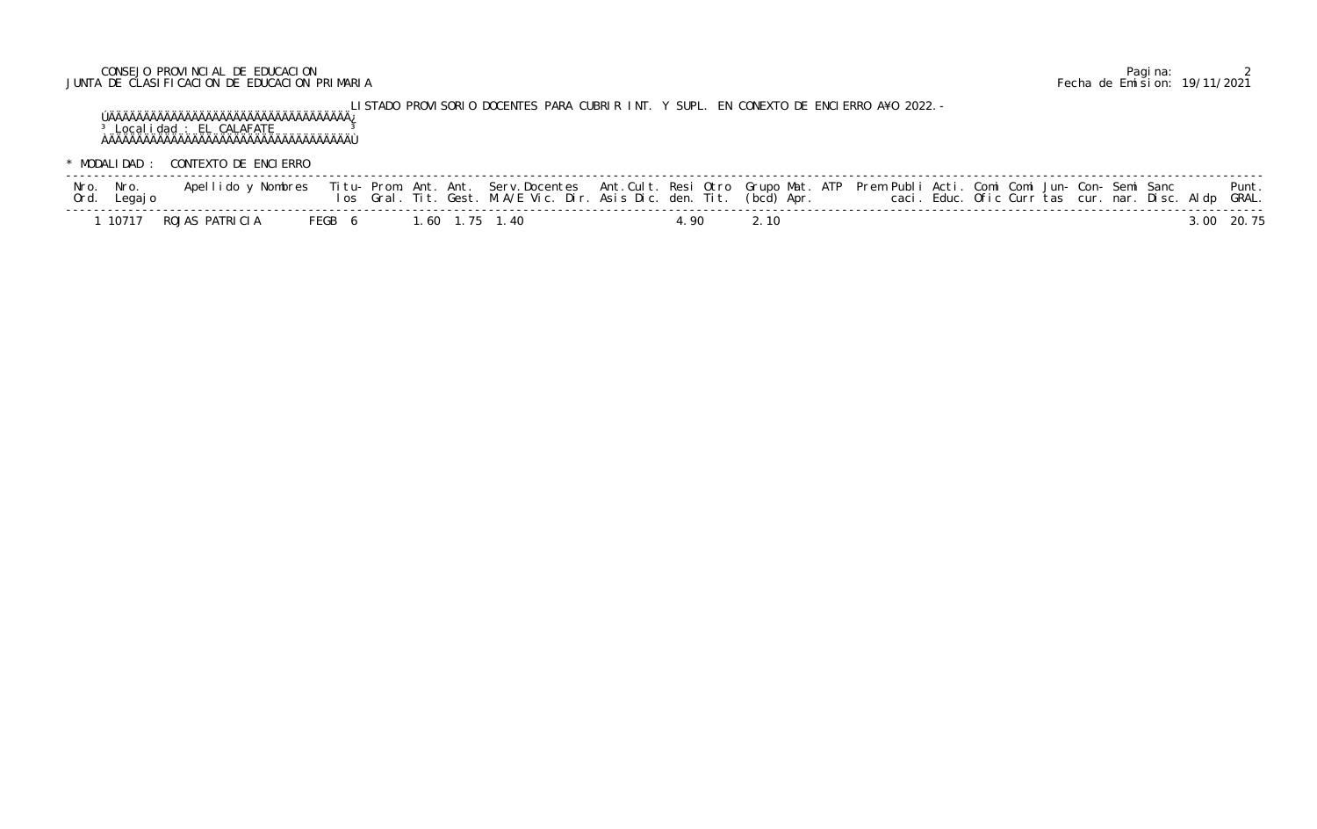## CONSEJO PROVINCIAL DE EDUCACION Pagina: 2 JUNTA DE CLASIFICACION DE EDUCACION PRIMARIA Fecha de Emision: 19/11/2021

LISTADO PROVISORIO DOCENTES PARA CUBRIR INT. Y SUPL. EN CONEXTO DE ENCIERRO A¥O 2022.- ÚÄÄÄÄÄÄÄÄÄÄÄÄÄÄÄÄÄÄÄÄÄÄÄÄÄÄÄÄÄÄÄÄÄÄÄ¿ <sup>3</sup> Localidad : EL CALAFATE <sup>3</sup> ÀÄÄÄÄÄÄÄÄÄÄÄÄÄÄÄÄÄÄÄÄÄÄÄÄÄÄÄÄÄÄÄÄÄÄÄÙ

\* MODALIDAD : CONTEXTO DE ENCIERRO

| Nro. Nro.<br>Ord. Legajo |                      |  |                       | los Gral. Tit. Gest. M.A/E Vic. Dir. Asis Dic. den. Tit. (bcd) Apr. |       |      | Apellido y Nombres - Titu- Prom. Ant. Ant. Serv.Docentes - Ant.Cult. Resi Otro Grupo Mat. ATP - Prem Publi Acti. Comi Comi Jun- Con- Semi Sanc<br>caci. Educ. Ofic Curr tas cur. nar. Disc. Aldp GRAL. |  |  | Punt.      |
|--------------------------|----------------------|--|-----------------------|---------------------------------------------------------------------|-------|------|--------------------------------------------------------------------------------------------------------------------------------------------------------------------------------------------------------|--|--|------------|
|                          | 10717 ROJAS PATRICIA |  | FEGB 6 1.60 1.75 1.40 |                                                                     | 1. QN | 2.10 |                                                                                                                                                                                                        |  |  | 3.00 20.75 |